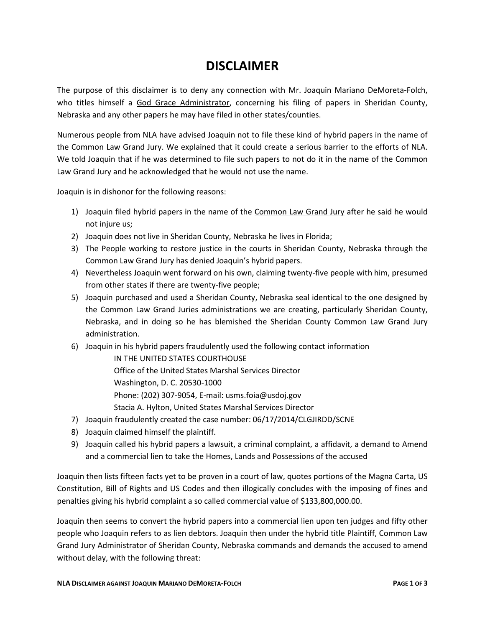## **DISCLAIMER**

The purpose of this disclaimer is to deny any connection with Mr. Joaquin Mariano DeMoreta-Folch, who titles himself a God Grace Administrator, concerning his filing of papers in Sheridan County, Nebraska and any other papers he may have filed in other states/counties.

Numerous people from NLA have advised Joaquin not to file these kind of hybrid papers in the name of the Common Law Grand Jury. We explained that it could create a serious barrier to the efforts of NLA. We told Joaquin that if he was determined to file such papers to not do it in the name of the Common Law Grand Jury and he acknowledged that he would not use the name.

Joaquin is in dishonor for the following reasons:

- 1) Joaquin filed hybrid papers in the name of the Common Law Grand Jury after he said he would not injure us;
- 2) Joaquin does not live in Sheridan County, Nebraska he lives in Florida;
- 3) The People working to restore justice in the courts in Sheridan County, Nebraska through the Common Law Grand Jury has denied Joaquin's hybrid papers.
- 4) Nevertheless Joaquin went forward on his own, claiming twenty-five people with him, presumed from other states if there are twenty-five people;
- 5) Joaquin purchased and used a Sheridan County, Nebraska seal identical to the one designed by the Common Law Grand Juries administrations we are creating, particularly Sheridan County, Nebraska, and in doing so he has blemished the Sheridan County Common Law Grand Jury administration.
- 6) Joaquin in his hybrid papers fraudulently used the following contact information

IN THE UNITED STATES COURTHOUSE Office of the United States Marshal Services Director Washington, D. C. 20530-1000 Phone: (202) 307-9054, E-mail: usms.foia@usdoj.gov Stacia A. Hylton, United States Marshal Services Director

- 7) Joaquin fraudulently created the case number: 06/17/2014/CLGJIRDD/SCNE
- 8) Joaquin claimed himself the plaintiff.
- 9) Joaquin called his hybrid papers a lawsuit, a criminal complaint, a affidavit, a demand to Amend and a commercial lien to take the Homes, Lands and Possessions of the accused

Joaquin then lists fifteen facts yet to be proven in a court of law, quotes portions of the Magna Carta, US Constitution, Bill of Rights and US Codes and then illogically concludes with the imposing of fines and penalties giving his hybrid complaint a so called commercial value of \$133,800,000.00.

Joaquin then seems to convert the hybrid papers into a commercial lien upon ten judges and fifty other people who Joaquin refers to as lien debtors. Joaquin then under the hybrid title Plaintiff, Common Law Grand Jury Administrator of Sheridan County, Nebraska commands and demands the accused to amend without delay, with the following threat: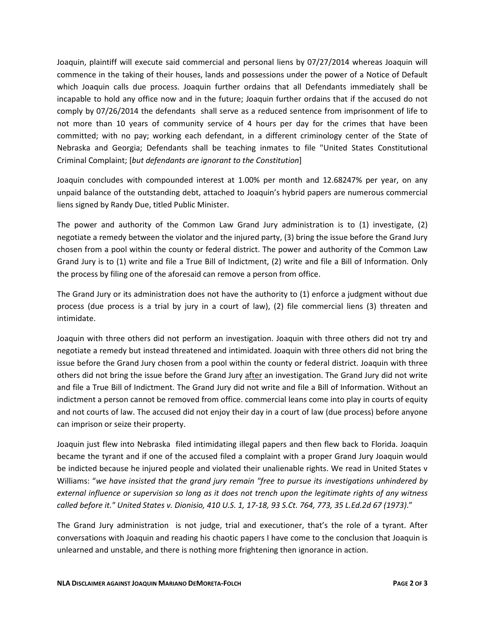Joaquin, plaintiff will execute said commercial and personal liens by 07/27/2014 whereas Joaquin will commence in the taking of their houses, lands and possessions under the power of a Notice of Default which Joaquin calls due process. Joaquin further ordains that all Defendants immediately shall be incapable to hold any office now and in the future; Joaquin further ordains that if the accused do not comply by 07/26/2014 the defendants shall serve as a reduced sentence from imprisonment of life to not more than 10 years of community service of 4 hours per day for the crimes that have been committed; with no pay; working each defendant, in a different criminology center of the State of Nebraska and Georgia; Defendants shall be teaching inmates to file "United States Constitutional Criminal Complaint; [*but defendants are ignorant to the Constitution*]

Joaquin concludes with compounded interest at 1.00% per month and 12.68247% per year, on any unpaid balance of the outstanding debt, attached to Joaquin's hybrid papers are numerous commercial liens signed by Randy Due, titled Public Minister.

The power and authority of the Common Law Grand Jury administration is to (1) investigate, (2) negotiate a remedy between the violator and the injured party, (3) bring the issue before the Grand Jury chosen from a pool within the county or federal district. The power and authority of the Common Law Grand Jury is to (1) write and file a True Bill of Indictment, (2) write and file a Bill of Information. Only the process by filing one of the aforesaid can remove a person from office.

The Grand Jury or its administration does not have the authority to (1) enforce a judgment without due process (due process is a trial by jury in a court of law), (2) file commercial liens (3) threaten and intimidate.

Joaquin with three others did not perform an investigation. Joaquin with three others did not try and negotiate a remedy but instead threatened and intimidated. Joaquin with three others did not bring the issue before the Grand Jury chosen from a pool within the county or federal district. Joaquin with three others did not bring the issue before the Grand Jury after an investigation. The Grand Jury did not write and file a True Bill of Indictment. The Grand Jury did not write and file a Bill of Information. Without an indictment a person cannot be removed from office. commercial leans come into play in courts of equity and not courts of law. The accused did not enjoy their day in a court of law (due process) before anyone can imprison or seize their property.

Joaquin just flew into Nebraska filed intimidating illegal papers and then flew back to Florida. Joaquin became the tyrant and if one of the accused filed a complaint with a proper Grand Jury Joaquin would be indicted because he injured people and violated their unalienable rights. We read in United States v Williams: "*we have insisted that the grand jury remain "free to pursue its investigations unhindered by external influence or supervision so long as it does not trench upon the legitimate rights of any witness called before it." United States v. Dionisio, 410 U.S. 1, 17-18, 93 S.Ct. 764, 773, 35 L.Ed.2d 67 (1973)*."

The Grand Jury administration is not judge, trial and executioner, that's the role of a tyrant. After conversations with Joaquin and reading his chaotic papers I have come to the conclusion that Joaquin is unlearned and unstable, and there is nothing more frightening then ignorance in action.